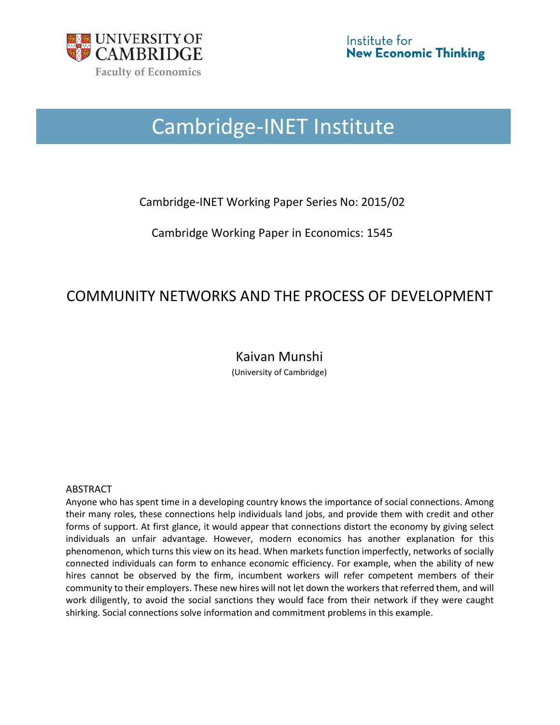

# Cambridge-INET Institute

### Cambridge-INET Working Paper Series No: 2015/02

Cambridge Working Paper in Economics: 1545

## COMMUNITY NETWORKS AND THE PROCESS OF DEVELOPMENT

## Kaivan Munshi

(University of Cambridge)

#### ABSTRACT

Anyone who has spent time in a developing country knows the importance of social connections. Among their many roles, these connections help individuals land jobs, and provide them with credit and other forms of support. At first glance, it would appear that connections distort the economy by giving select individuals an unfair advantage. However, modern economics has another explanation for this phenomenon, which turns this view on its head. When markets function imperfectly, networks of socially connected individuals can form to enhance economic efficiency. For example, when the ability of new hires cannot be observed by the firm, incumbent workers will refer competent members of their community to their employers. These new hires will not let down the workers that referred them, and will work diligently, to avoid the social sanctions they would face from their network if they were caught shirking. Social connections solve information and commitment problems in this example.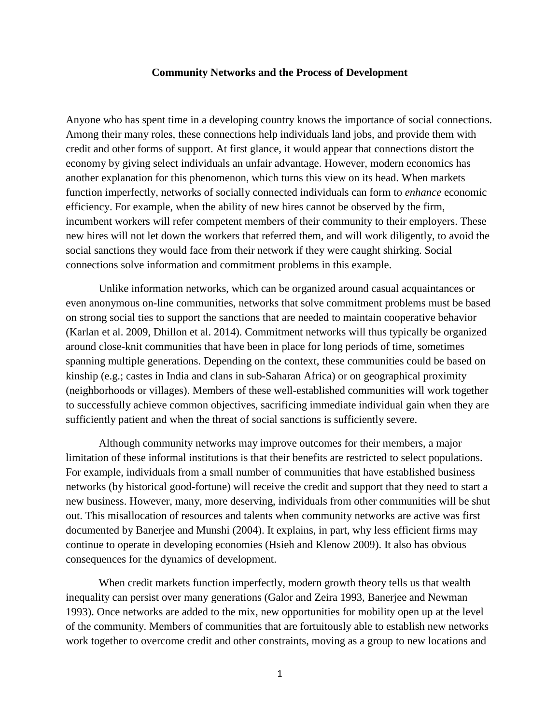#### **Community Networks and the Process of Development**

Anyone who has spent time in a developing country knows the importance of social connections. Among their many roles, these connections help individuals land jobs, and provide them with credit and other forms of support. At first glance, it would appear that connections distort the economy by giving select individuals an unfair advantage. However, modern economics has another explanation for this phenomenon, which turns this view on its head. When markets function imperfectly, networks of socially connected individuals can form to *enhance* economic efficiency. For example, when the ability of new hires cannot be observed by the firm, incumbent workers will refer competent members of their community to their employers. These new hires will not let down the workers that referred them, and will work diligently, to avoid the social sanctions they would face from their network if they were caught shirking. Social connections solve information and commitment problems in this example.

Unlike information networks, which can be organized around casual acquaintances or even anonymous on-line communities, networks that solve commitment problems must be based on strong social ties to support the sanctions that are needed to maintain cooperative behavior (Karlan et al. 2009, Dhillon et al. 2014). Commitment networks will thus typically be organized around close-knit communities that have been in place for long periods of time, sometimes spanning multiple generations. Depending on the context, these communities could be based on kinship (e.g.; castes in India and clans in sub-Saharan Africa) or on geographical proximity (neighborhoods or villages). Members of these well-established communities will work together to successfully achieve common objectives, sacrificing immediate individual gain when they are sufficiently patient and when the threat of social sanctions is sufficiently severe.

Although community networks may improve outcomes for their members, a major limitation of these informal institutions is that their benefits are restricted to select populations. For example, individuals from a small number of communities that have established business networks (by historical good-fortune) will receive the credit and support that they need to start a new business. However, many, more deserving, individuals from other communities will be shut out. This misallocation of resources and talents when community networks are active was first documented by Banerjee and Munshi (2004). It explains, in part, why less efficient firms may continue to operate in developing economies (Hsieh and Klenow 2009). It also has obvious consequences for the dynamics of development.

When credit markets function imperfectly, modern growth theory tells us that wealth inequality can persist over many generations (Galor and Zeira 1993, Banerjee and Newman 1993). Once networks are added to the mix, new opportunities for mobility open up at the level of the community. Members of communities that are fortuitously able to establish new networks work together to overcome credit and other constraints, moving as a group to new locations and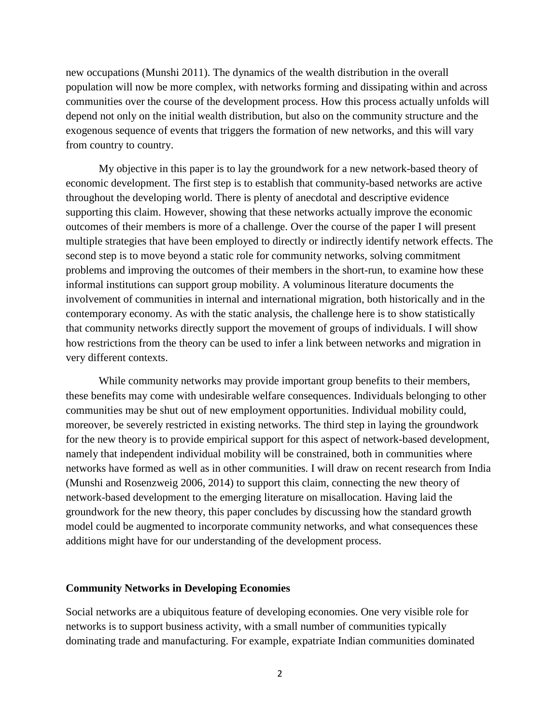new occupations (Munshi 2011). The dynamics of the wealth distribution in the overall population will now be more complex, with networks forming and dissipating within and across communities over the course of the development process. How this process actually unfolds will depend not only on the initial wealth distribution, but also on the community structure and the exogenous sequence of events that triggers the formation of new networks, and this will vary from country to country.

My objective in this paper is to lay the groundwork for a new network-based theory of economic development. The first step is to establish that community-based networks are active throughout the developing world. There is plenty of anecdotal and descriptive evidence supporting this claim. However, showing that these networks actually improve the economic outcomes of their members is more of a challenge. Over the course of the paper I will present multiple strategies that have been employed to directly or indirectly identify network effects. The second step is to move beyond a static role for community networks, solving commitment problems and improving the outcomes of their members in the short-run, to examine how these informal institutions can support group mobility. A voluminous literature documents the involvement of communities in internal and international migration, both historically and in the contemporary economy. As with the static analysis, the challenge here is to show statistically that community networks directly support the movement of groups of individuals. I will show how restrictions from the theory can be used to infer a link between networks and migration in very different contexts.

While community networks may provide important group benefits to their members, these benefits may come with undesirable welfare consequences. Individuals belonging to other communities may be shut out of new employment opportunities. Individual mobility could, moreover, be severely restricted in existing networks. The third step in laying the groundwork for the new theory is to provide empirical support for this aspect of network-based development, namely that independent individual mobility will be constrained, both in communities where networks have formed as well as in other communities. I will draw on recent research from India (Munshi and Rosenzweig 2006, 2014) to support this claim, connecting the new theory of network-based development to the emerging literature on misallocation. Having laid the groundwork for the new theory, this paper concludes by discussing how the standard growth model could be augmented to incorporate community networks, and what consequences these additions might have for our understanding of the development process.

#### **Community Networks in Developing Economies**

Social networks are a ubiquitous feature of developing economies. One very visible role for networks is to support business activity, with a small number of communities typically dominating trade and manufacturing. For example, expatriate Indian communities dominated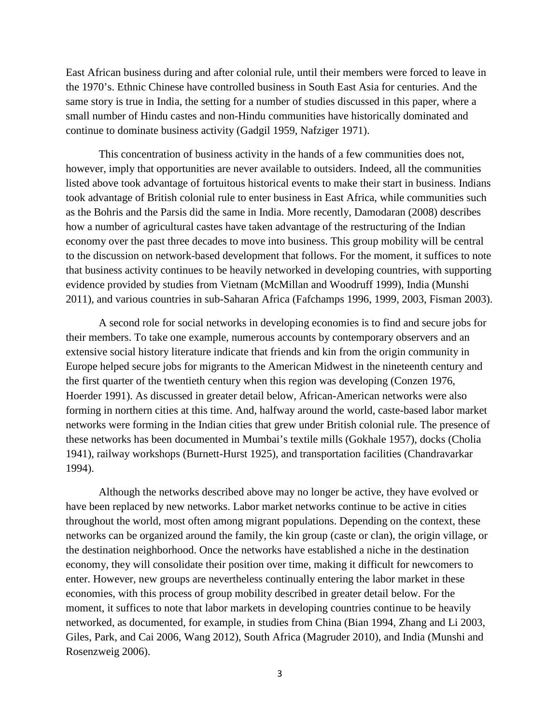East African business during and after colonial rule, until their members were forced to leave in the 1970's. Ethnic Chinese have controlled business in South East Asia for centuries. And the same story is true in India, the setting for a number of studies discussed in this paper, where a small number of Hindu castes and non-Hindu communities have historically dominated and continue to dominate business activity (Gadgil 1959, Nafziger 1971).

This concentration of business activity in the hands of a few communities does not, however, imply that opportunities are never available to outsiders. Indeed, all the communities listed above took advantage of fortuitous historical events to make their start in business. Indians took advantage of British colonial rule to enter business in East Africa, while communities such as the Bohris and the Parsis did the same in India. More recently, Damodaran (2008) describes how a number of agricultural castes have taken advantage of the restructuring of the Indian economy over the past three decades to move into business. This group mobility will be central to the discussion on network-based development that follows. For the moment, it suffices to note that business activity continues to be heavily networked in developing countries, with supporting evidence provided by studies from Vietnam (McMillan and Woodruff 1999), India (Munshi 2011), and various countries in sub-Saharan Africa (Fafchamps 1996, 1999, 2003, Fisman 2003).

A second role for social networks in developing economies is to find and secure jobs for their members. To take one example, numerous accounts by contemporary observers and an extensive social history literature indicate that friends and kin from the origin community in Europe helped secure jobs for migrants to the American Midwest in the nineteenth century and the first quarter of the twentieth century when this region was developing (Conzen 1976, Hoerder 1991). As discussed in greater detail below, African-American networks were also forming in northern cities at this time. And, halfway around the world, caste-based labor market networks were forming in the Indian cities that grew under British colonial rule. The presence of these networks has been documented in Mumbai's textile mills (Gokhale 1957), docks (Cholia 1941), railway workshops (Burnett-Hurst 1925), and transportation facilities (Chandravarkar 1994).

Although the networks described above may no longer be active, they have evolved or have been replaced by new networks. Labor market networks continue to be active in cities throughout the world, most often among migrant populations. Depending on the context, these networks can be organized around the family, the kin group (caste or clan), the origin village, or the destination neighborhood. Once the networks have established a niche in the destination economy, they will consolidate their position over time, making it difficult for newcomers to enter. However, new groups are nevertheless continually entering the labor market in these economies, with this process of group mobility described in greater detail below. For the moment, it suffices to note that labor markets in developing countries continue to be heavily networked, as documented, for example, in studies from China (Bian 1994, Zhang and Li 2003, Giles, Park, and Cai 2006, Wang 2012), South Africa (Magruder 2010), and India (Munshi and Rosenzweig 2006).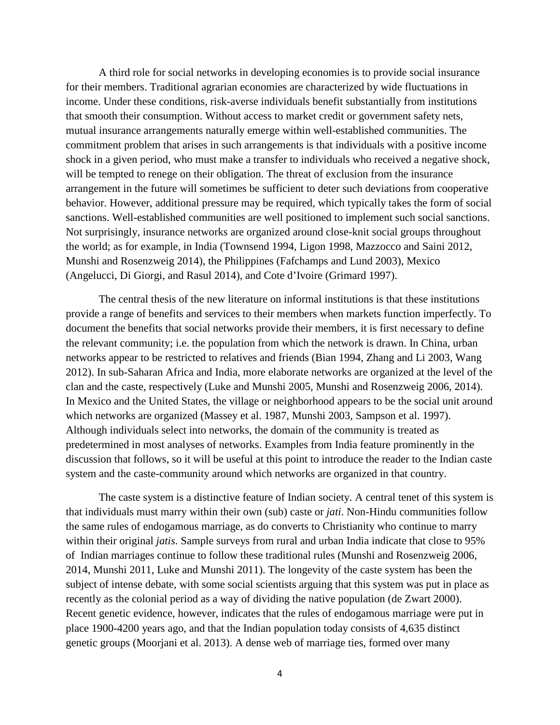A third role for social networks in developing economies is to provide social insurance for their members. Traditional agrarian economies are characterized by wide fluctuations in income. Under these conditions, risk-averse individuals benefit substantially from institutions that smooth their consumption. Without access to market credit or government safety nets, mutual insurance arrangements naturally emerge within well-established communities. The commitment problem that arises in such arrangements is that individuals with a positive income shock in a given period, who must make a transfer to individuals who received a negative shock, will be tempted to renege on their obligation. The threat of exclusion from the insurance arrangement in the future will sometimes be sufficient to deter such deviations from cooperative behavior. However, additional pressure may be required, which typically takes the form of social sanctions. Well-established communities are well positioned to implement such social sanctions. Not surprisingly, insurance networks are organized around close-knit social groups throughout the world; as for example, in India (Townsend 1994, Ligon 1998, Mazzocco and Saini 2012, Munshi and Rosenzweig 2014), the Philippines (Fafchamps and Lund 2003), Mexico (Angelucci, Di Giorgi, and Rasul 2014), and Cote d'Ivoire (Grimard 1997).

The central thesis of the new literature on informal institutions is that these institutions provide a range of benefits and services to their members when markets function imperfectly. To document the benefits that social networks provide their members, it is first necessary to define the relevant community; i.e. the population from which the network is drawn. In China, urban networks appear to be restricted to relatives and friends (Bian 1994, Zhang and Li 2003, Wang 2012). In sub-Saharan Africa and India, more elaborate networks are organized at the level of the clan and the caste, respectively (Luke and Munshi 2005, Munshi and Rosenzweig 2006, 2014). In Mexico and the United States, the village or neighborhood appears to be the social unit around which networks are organized (Massey et al. 1987, Munshi 2003, Sampson et al. 1997). Although individuals select into networks, the domain of the community is treated as predetermined in most analyses of networks. Examples from India feature prominently in the discussion that follows, so it will be useful at this point to introduce the reader to the Indian caste system and the caste-community around which networks are organized in that country.

The caste system is a distinctive feature of Indian society. A central tenet of this system is that individuals must marry within their own (sub) caste or *jati*. Non-Hindu communities follow the same rules of endogamous marriage, as do converts to Christianity who continue to marry within their original *jatis*. Sample surveys from rural and urban India indicate that close to 95% of Indian marriages continue to follow these traditional rules (Munshi and Rosenzweig 2006, 2014, Munshi 2011, Luke and Munshi 2011). The longevity of the caste system has been the subject of intense debate, with some social scientists arguing that this system was put in place as recently as the colonial period as a way of dividing the native population (de Zwart 2000). Recent genetic evidence, however, indicates that the rules of endogamous marriage were put in place 1900-4200 years ago, and that the Indian population today consists of 4,635 distinct genetic groups (Moorjani et al. 2013). A dense web of marriage ties, formed over many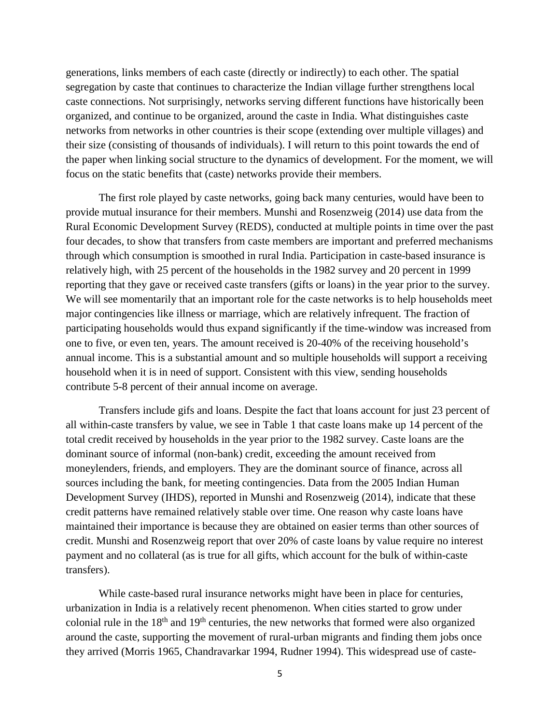generations, links members of each caste (directly or indirectly) to each other. The spatial segregation by caste that continues to characterize the Indian village further strengthens local caste connections. Not surprisingly, networks serving different functions have historically been organized, and continue to be organized, around the caste in India. What distinguishes caste networks from networks in other countries is their scope (extending over multiple villages) and their size (consisting of thousands of individuals). I will return to this point towards the end of the paper when linking social structure to the dynamics of development. For the moment, we will focus on the static benefits that (caste) networks provide their members.

The first role played by caste networks, going back many centuries, would have been to provide mutual insurance for their members. Munshi and Rosenzweig (2014) use data from the Rural Economic Development Survey (REDS), conducted at multiple points in time over the past four decades, to show that transfers from caste members are important and preferred mechanisms through which consumption is smoothed in rural India. Participation in caste-based insurance is relatively high, with 25 percent of the households in the 1982 survey and 20 percent in 1999 reporting that they gave or received caste transfers (gifts or loans) in the year prior to the survey. We will see momentarily that an important role for the caste networks is to help households meet major contingencies like illness or marriage, which are relatively infrequent. The fraction of participating households would thus expand significantly if the time-window was increased from one to five, or even ten, years. The amount received is 20-40% of the receiving household's annual income. This is a substantial amount and so multiple households will support a receiving household when it is in need of support. Consistent with this view, sending households contribute 5-8 percent of their annual income on average.

Transfers include gifs and loans. Despite the fact that loans account for just 23 percent of all within-caste transfers by value, we see in Table 1 that caste loans make up 14 percent of the total credit received by households in the year prior to the 1982 survey. Caste loans are the dominant source of informal (non-bank) credit, exceeding the amount received from moneylenders, friends, and employers. They are the dominant source of finance, across all sources including the bank, for meeting contingencies. Data from the 2005 Indian Human Development Survey (IHDS), reported in Munshi and Rosenzweig (2014), indicate that these credit patterns have remained relatively stable over time. One reason why caste loans have maintained their importance is because they are obtained on easier terms than other sources of credit. Munshi and Rosenzweig report that over 20% of caste loans by value require no interest payment and no collateral (as is true for all gifts, which account for the bulk of within-caste transfers).

While caste-based rural insurance networks might have been in place for centuries, urbanization in India is a relatively recent phenomenon. When cities started to grow under colonial rule in the  $18<sup>th</sup>$  and  $19<sup>th</sup>$  centuries, the new networks that formed were also organized around the caste, supporting the movement of rural-urban migrants and finding them jobs once they arrived (Morris 1965, Chandravarkar 1994, Rudner 1994). This widespread use of caste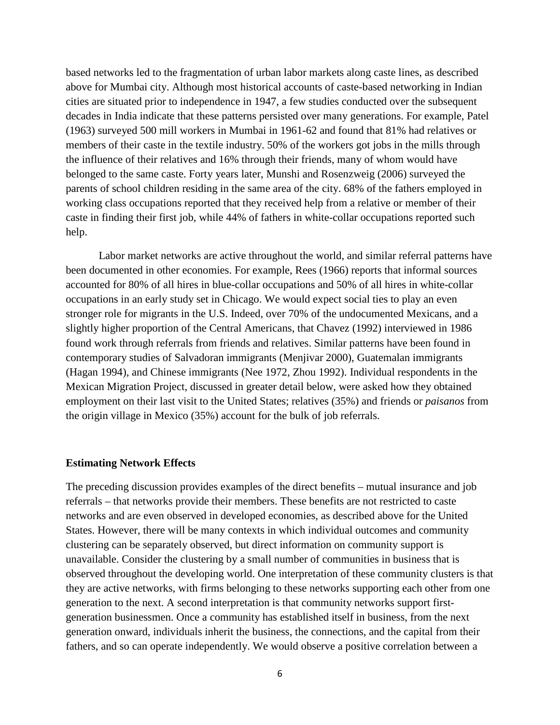based networks led to the fragmentation of urban labor markets along caste lines, as described above for Mumbai city. Although most historical accounts of caste-based networking in Indian cities are situated prior to independence in 1947, a few studies conducted over the subsequent decades in India indicate that these patterns persisted over many generations. For example, Patel (1963) surveyed 500 mill workers in Mumbai in 1961-62 and found that 81% had relatives or members of their caste in the textile industry. 50% of the workers got jobs in the mills through the influence of their relatives and 16% through their friends, many of whom would have belonged to the same caste. Forty years later, Munshi and Rosenzweig (2006) surveyed the parents of school children residing in the same area of the city. 68% of the fathers employed in working class occupations reported that they received help from a relative or member of their caste in finding their first job, while 44% of fathers in white-collar occupations reported such help.

Labor market networks are active throughout the world, and similar referral patterns have been documented in other economies. For example, Rees (1966) reports that informal sources accounted for 80% of all hires in blue-collar occupations and 50% of all hires in white-collar occupations in an early study set in Chicago. We would expect social ties to play an even stronger role for migrants in the U.S. Indeed, over 70% of the undocumented Mexicans, and a slightly higher proportion of the Central Americans, that Chavez (1992) interviewed in 1986 found work through referrals from friends and relatives. Similar patterns have been found in contemporary studies of Salvadoran immigrants (Menjivar 2000), Guatemalan immigrants (Hagan 1994), and Chinese immigrants (Nee 1972, Zhou 1992). Individual respondents in the Mexican Migration Project, discussed in greater detail below, were asked how they obtained employment on their last visit to the United States; relatives (35%) and friends or *paisanos* from the origin village in Mexico (35%) account for the bulk of job referrals.

#### **Estimating Network Effects**

The preceding discussion provides examples of the direct benefits – mutual insurance and job referrals – that networks provide their members. These benefits are not restricted to caste networks and are even observed in developed economies, as described above for the United States. However, there will be many contexts in which individual outcomes and community clustering can be separately observed, but direct information on community support is unavailable. Consider the clustering by a small number of communities in business that is observed throughout the developing world. One interpretation of these community clusters is that they are active networks, with firms belonging to these networks supporting each other from one generation to the next. A second interpretation is that community networks support firstgeneration businessmen. Once a community has established itself in business, from the next generation onward, individuals inherit the business, the connections, and the capital from their fathers, and so can operate independently. We would observe a positive correlation between a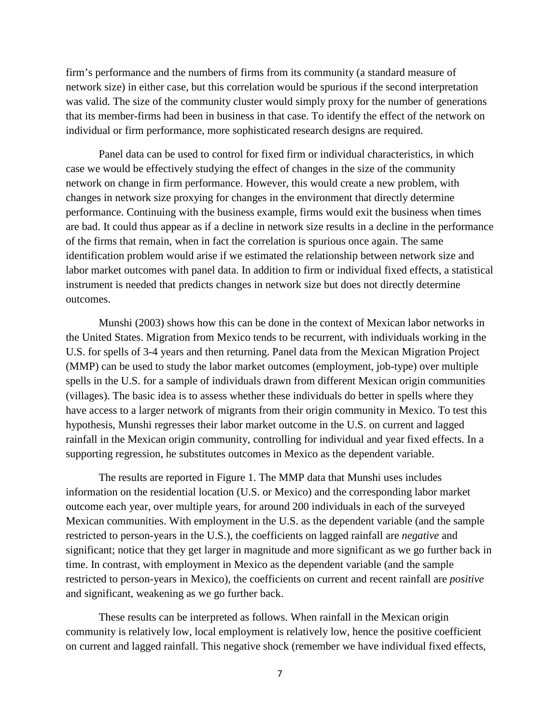firm's performance and the numbers of firms from its community (a standard measure of network size) in either case, but this correlation would be spurious if the second interpretation was valid. The size of the community cluster would simply proxy for the number of generations that its member-firms had been in business in that case. To identify the effect of the network on individual or firm performance, more sophisticated research designs are required.

Panel data can be used to control for fixed firm or individual characteristics, in which case we would be effectively studying the effect of changes in the size of the community network on change in firm performance. However, this would create a new problem, with changes in network size proxying for changes in the environment that directly determine performance. Continuing with the business example, firms would exit the business when times are bad. It could thus appear as if a decline in network size results in a decline in the performance of the firms that remain, when in fact the correlation is spurious once again. The same identification problem would arise if we estimated the relationship between network size and labor market outcomes with panel data. In addition to firm or individual fixed effects, a statistical instrument is needed that predicts changes in network size but does not directly determine outcomes.

Munshi (2003) shows how this can be done in the context of Mexican labor networks in the United States. Migration from Mexico tends to be recurrent, with individuals working in the U.S. for spells of 3-4 years and then returning. Panel data from the Mexican Migration Project (MMP) can be used to study the labor market outcomes (employment, job-type) over multiple spells in the U.S. for a sample of individuals drawn from different Mexican origin communities (villages). The basic idea is to assess whether these individuals do better in spells where they have access to a larger network of migrants from their origin community in Mexico. To test this hypothesis, Munshi regresses their labor market outcome in the U.S. on current and lagged rainfall in the Mexican origin community, controlling for individual and year fixed effects. In a supporting regression, he substitutes outcomes in Mexico as the dependent variable.

The results are reported in Figure 1. The MMP data that Munshi uses includes information on the residential location (U.S. or Mexico) and the corresponding labor market outcome each year, over multiple years, for around 200 individuals in each of the surveyed Mexican communities. With employment in the U.S. as the dependent variable (and the sample restricted to person-years in the U.S.), the coefficients on lagged rainfall are *negative* and significant; notice that they get larger in magnitude and more significant as we go further back in time. In contrast, with employment in Mexico as the dependent variable (and the sample restricted to person-years in Mexico), the coefficients on current and recent rainfall are *positive* and significant, weakening as we go further back.

These results can be interpreted as follows. When rainfall in the Mexican origin community is relatively low, local employment is relatively low, hence the positive coefficient on current and lagged rainfall. This negative shock (remember we have individual fixed effects,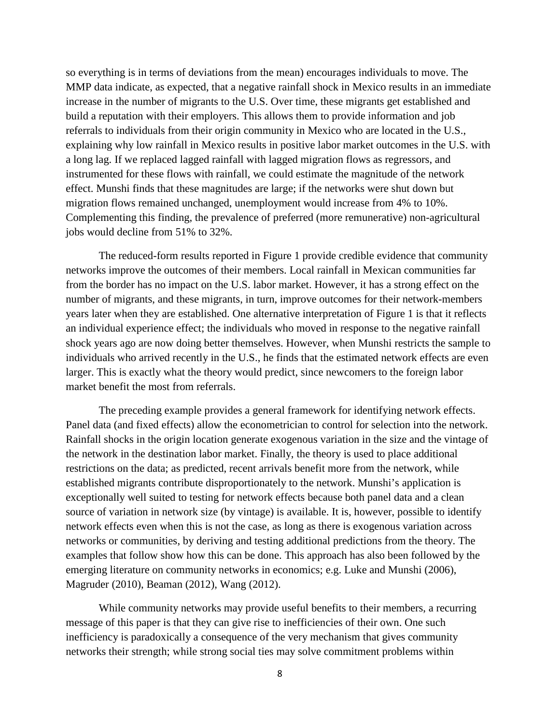so everything is in terms of deviations from the mean) encourages individuals to move. The MMP data indicate, as expected, that a negative rainfall shock in Mexico results in an immediate increase in the number of migrants to the U.S. Over time, these migrants get established and build a reputation with their employers. This allows them to provide information and job referrals to individuals from their origin community in Mexico who are located in the U.S., explaining why low rainfall in Mexico results in positive labor market outcomes in the U.S. with a long lag. If we replaced lagged rainfall with lagged migration flows as regressors, and instrumented for these flows with rainfall, we could estimate the magnitude of the network effect. Munshi finds that these magnitudes are large; if the networks were shut down but migration flows remained unchanged, unemployment would increase from 4% to 10%. Complementing this finding, the prevalence of preferred (more remunerative) non-agricultural jobs would decline from 51% to 32%.

The reduced-form results reported in Figure 1 provide credible evidence that community networks improve the outcomes of their members. Local rainfall in Mexican communities far from the border has no impact on the U.S. labor market. However, it has a strong effect on the number of migrants, and these migrants, in turn, improve outcomes for their network-members years later when they are established. One alternative interpretation of Figure 1 is that it reflects an individual experience effect; the individuals who moved in response to the negative rainfall shock years ago are now doing better themselves. However, when Munshi restricts the sample to individuals who arrived recently in the U.S., he finds that the estimated network effects are even larger. This is exactly what the theory would predict, since newcomers to the foreign labor market benefit the most from referrals.

The preceding example provides a general framework for identifying network effects. Panel data (and fixed effects) allow the econometrician to control for selection into the network. Rainfall shocks in the origin location generate exogenous variation in the size and the vintage of the network in the destination labor market. Finally, the theory is used to place additional restrictions on the data; as predicted, recent arrivals benefit more from the network, while established migrants contribute disproportionately to the network. Munshi's application is exceptionally well suited to testing for network effects because both panel data and a clean source of variation in network size (by vintage) is available. It is, however, possible to identify network effects even when this is not the case, as long as there is exogenous variation across networks or communities, by deriving and testing additional predictions from the theory. The examples that follow show how this can be done. This approach has also been followed by the emerging literature on community networks in economics; e.g. Luke and Munshi (2006), Magruder (2010), Beaman (2012), Wang (2012).

While community networks may provide useful benefits to their members, a recurring message of this paper is that they can give rise to inefficiencies of their own. One such inefficiency is paradoxically a consequence of the very mechanism that gives community networks their strength; while strong social ties may solve commitment problems within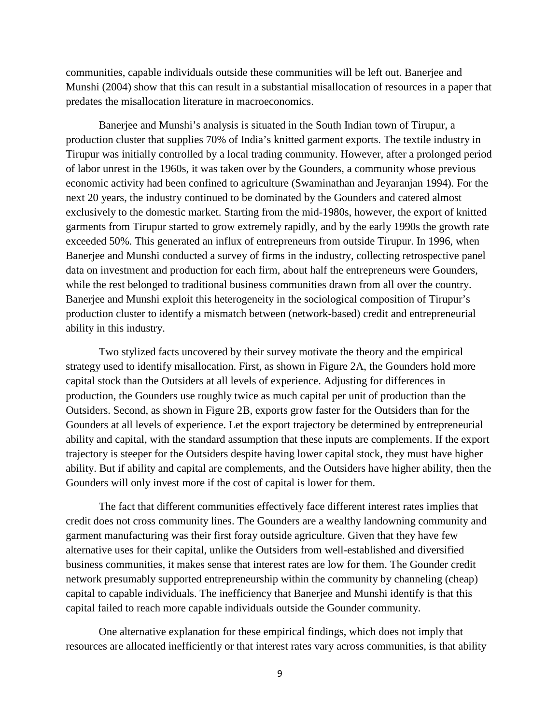communities, capable individuals outside these communities will be left out. Banerjee and Munshi (2004) show that this can result in a substantial misallocation of resources in a paper that predates the misallocation literature in macroeconomics.

Banerjee and Munshi's analysis is situated in the South Indian town of Tirupur, a production cluster that supplies 70% of India's knitted garment exports. The textile industry in Tirupur was initially controlled by a local trading community. However, after a prolonged period of labor unrest in the 1960s, it was taken over by the Gounders, a community whose previous economic activity had been confined to agriculture (Swaminathan and Jeyaranjan 1994). For the next 20 years, the industry continued to be dominated by the Gounders and catered almost exclusively to the domestic market. Starting from the mid-1980s, however, the export of knitted garments from Tirupur started to grow extremely rapidly, and by the early 1990s the growth rate exceeded 50%. This generated an influx of entrepreneurs from outside Tirupur. In 1996, when Banerjee and Munshi conducted a survey of firms in the industry, collecting retrospective panel data on investment and production for each firm, about half the entrepreneurs were Gounders, while the rest belonged to traditional business communities drawn from all over the country. Banerjee and Munshi exploit this heterogeneity in the sociological composition of Tirupur's production cluster to identify a mismatch between (network-based) credit and entrepreneurial ability in this industry.

Two stylized facts uncovered by their survey motivate the theory and the empirical strategy used to identify misallocation. First, as shown in Figure 2A, the Gounders hold more capital stock than the Outsiders at all levels of experience. Adjusting for differences in production, the Gounders use roughly twice as much capital per unit of production than the Outsiders. Second, as shown in Figure 2B, exports grow faster for the Outsiders than for the Gounders at all levels of experience. Let the export trajectory be determined by entrepreneurial ability and capital, with the standard assumption that these inputs are complements. If the export trajectory is steeper for the Outsiders despite having lower capital stock, they must have higher ability. But if ability and capital are complements, and the Outsiders have higher ability, then the Gounders will only invest more if the cost of capital is lower for them.

The fact that different communities effectively face different interest rates implies that credit does not cross community lines. The Gounders are a wealthy landowning community and garment manufacturing was their first foray outside agriculture. Given that they have few alternative uses for their capital, unlike the Outsiders from well-established and diversified business communities, it makes sense that interest rates are low for them. The Gounder credit network presumably supported entrepreneurship within the community by channeling (cheap) capital to capable individuals. The inefficiency that Banerjee and Munshi identify is that this capital failed to reach more capable individuals outside the Gounder community.

One alternative explanation for these empirical findings, which does not imply that resources are allocated inefficiently or that interest rates vary across communities, is that ability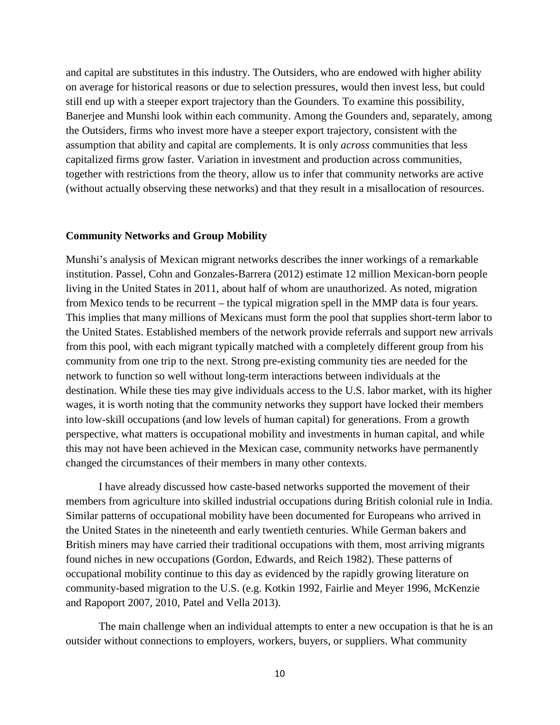and capital are substitutes in this industry. The Outsiders, who are endowed with higher ability on average for historical reasons or due to selection pressures, would then invest less, but could still end up with a steeper export trajectory than the Gounders. To examine this possibility, Banerjee and Munshi look within each community. Among the Gounders and, separately, among the Outsiders, firms who invest more have a steeper export trajectory, consistent with the assumption that ability and capital are complements. It is only *across* communities that less capitalized firms grow faster. Variation in investment and production across communities, together with restrictions from the theory, allow us to infer that community networks are active (without actually observing these networks) and that they result in a misallocation of resources.

#### **Community Networks and Group Mobility**

Munshi's analysis of Mexican migrant networks describes the inner workings of a remarkable institution. Passel, Cohn and Gonzales-Barrera (2012) estimate 12 million Mexican-born people living in the United States in 2011, about half of whom are unauthorized. As noted, migration from Mexico tends to be recurrent – the typical migration spell in the MMP data is four years. This implies that many millions of Mexicans must form the pool that supplies short-term labor to the United States. Established members of the network provide referrals and support new arrivals from this pool, with each migrant typically matched with a completely different group from his community from one trip to the next. Strong pre-existing community ties are needed for the network to function so well without long-term interactions between individuals at the destination. While these ties may give individuals access to the U.S. labor market, with its higher wages, it is worth noting that the community networks they support have locked their members into low-skill occupations (and low levels of human capital) for generations. From a growth perspective, what matters is occupational mobility and investments in human capital, and while this may not have been achieved in the Mexican case, community networks have permanently changed the circumstances of their members in many other contexts.

I have already discussed how caste-based networks supported the movement of their members from agriculture into skilled industrial occupations during British colonial rule in India. Similar patterns of occupational mobility have been documented for Europeans who arrived in the United States in the nineteenth and early twentieth centuries. While German bakers and British miners may have carried their traditional occupations with them, most arriving migrants found niches in new occupations (Gordon, Edwards, and Reich 1982). These patterns of occupational mobility continue to this day as evidenced by the rapidly growing literature on community-based migration to the U.S. (e.g. Kotkin 1992, Fairlie and Meyer 1996, McKenzie and Rapoport 2007, 2010, Patel and Vella 2013).

The main challenge when an individual attempts to enter a new occupation is that he is an outsider without connections to employers, workers, buyers, or suppliers. What community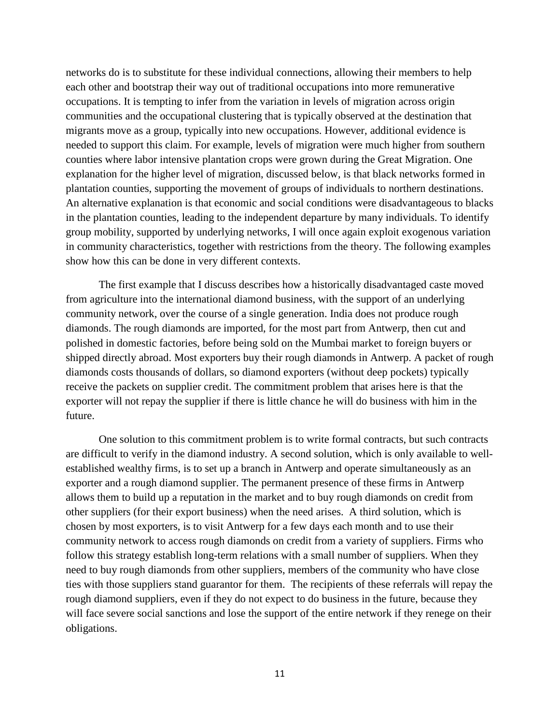networks do is to substitute for these individual connections, allowing their members to help each other and bootstrap their way out of traditional occupations into more remunerative occupations. It is tempting to infer from the variation in levels of migration across origin communities and the occupational clustering that is typically observed at the destination that migrants move as a group, typically into new occupations. However, additional evidence is needed to support this claim. For example, levels of migration were much higher from southern counties where labor intensive plantation crops were grown during the Great Migration. One explanation for the higher level of migration, discussed below, is that black networks formed in plantation counties, supporting the movement of groups of individuals to northern destinations. An alternative explanation is that economic and social conditions were disadvantageous to blacks in the plantation counties, leading to the independent departure by many individuals. To identify group mobility, supported by underlying networks, I will once again exploit exogenous variation in community characteristics, together with restrictions from the theory. The following examples show how this can be done in very different contexts.

The first example that I discuss describes how a historically disadvantaged caste moved from agriculture into the international diamond business, with the support of an underlying community network, over the course of a single generation. India does not produce rough diamonds. The rough diamonds are imported, for the most part from Antwerp, then cut and polished in domestic factories, before being sold on the Mumbai market to foreign buyers or shipped directly abroad. Most exporters buy their rough diamonds in Antwerp. A packet of rough diamonds costs thousands of dollars, so diamond exporters (without deep pockets) typically receive the packets on supplier credit. The commitment problem that arises here is that the exporter will not repay the supplier if there is little chance he will do business with him in the future.

One solution to this commitment problem is to write formal contracts, but such contracts are difficult to verify in the diamond industry. A second solution, which is only available to wellestablished wealthy firms, is to set up a branch in Antwerp and operate simultaneously as an exporter and a rough diamond supplier. The permanent presence of these firms in Antwerp allows them to build up a reputation in the market and to buy rough diamonds on credit from other suppliers (for their export business) when the need arises. A third solution, which is chosen by most exporters, is to visit Antwerp for a few days each month and to use their community network to access rough diamonds on credit from a variety of suppliers. Firms who follow this strategy establish long-term relations with a small number of suppliers. When they need to buy rough diamonds from other suppliers, members of the community who have close ties with those suppliers stand guarantor for them. The recipients of these referrals will repay the rough diamond suppliers, even if they do not expect to do business in the future, because they will face severe social sanctions and lose the support of the entire network if they renege on their obligations.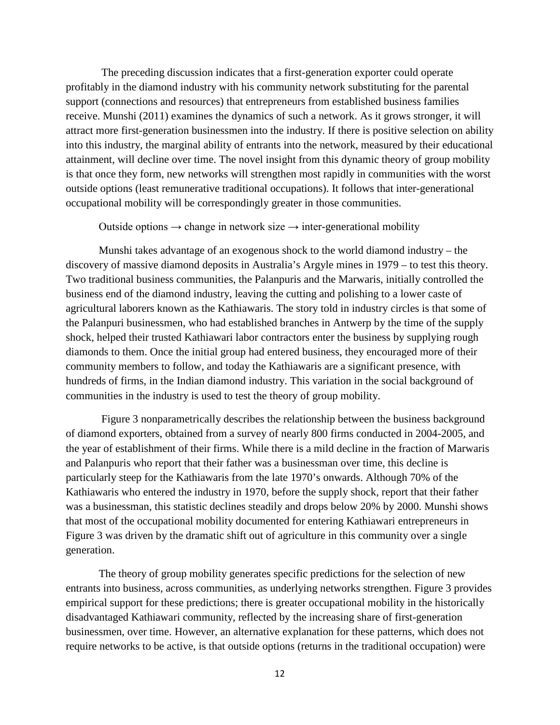The preceding discussion indicates that a first-generation exporter could operate profitably in the diamond industry with his community network substituting for the parental support (connections and resources) that entrepreneurs from established business families receive. Munshi (2011) examines the dynamics of such a network. As it grows stronger, it will attract more first-generation businessmen into the industry. If there is positive selection on ability into this industry, the marginal ability of entrants into the network, measured by their educational attainment, will decline over time. The novel insight from this dynamic theory of group mobility is that once they form, new networks will strengthen most rapidly in communities with the worst outside options (least remunerative traditional occupations). It follows that inter-generational occupational mobility will be correspondingly greater in those communities.

#### Outside options  $\rightarrow$  change in network size  $\rightarrow$  inter-generational mobility

Munshi takes advantage of an exogenous shock to the world diamond industry – the discovery of massive diamond deposits in Australia's Argyle mines in 1979 – to test this theory. Two traditional business communities, the Palanpuris and the Marwaris, initially controlled the business end of the diamond industry, leaving the cutting and polishing to a lower caste of agricultural laborers known as the Kathiawaris. The story told in industry circles is that some of the Palanpuri businessmen, who had established branches in Antwerp by the time of the supply shock, helped their trusted Kathiawari labor contractors enter the business by supplying rough diamonds to them. Once the initial group had entered business, they encouraged more of their community members to follow, and today the Kathiawaris are a significant presence, with hundreds of firms, in the Indian diamond industry. This variation in the social background of communities in the industry is used to test the theory of group mobility.

Figure 3 nonparametrically describes the relationship between the business background of diamond exporters, obtained from a survey of nearly 800 firms conducted in 2004-2005, and the year of establishment of their firms. While there is a mild decline in the fraction of Marwaris and Palanpuris who report that their father was a businessman over time, this decline is particularly steep for the Kathiawaris from the late 1970's onwards. Although 70% of the Kathiawaris who entered the industry in 1970, before the supply shock, report that their father was a businessman, this statistic declines steadily and drops below 20% by 2000. Munshi shows that most of the occupational mobility documented for entering Kathiawari entrepreneurs in Figure 3 was driven by the dramatic shift out of agriculture in this community over a single generation.

The theory of group mobility generates specific predictions for the selection of new entrants into business, across communities, as underlying networks strengthen. Figure 3 provides empirical support for these predictions; there is greater occupational mobility in the historically disadvantaged Kathiawari community, reflected by the increasing share of first-generation businessmen, over time. However, an alternative explanation for these patterns, which does not require networks to be active, is that outside options (returns in the traditional occupation) were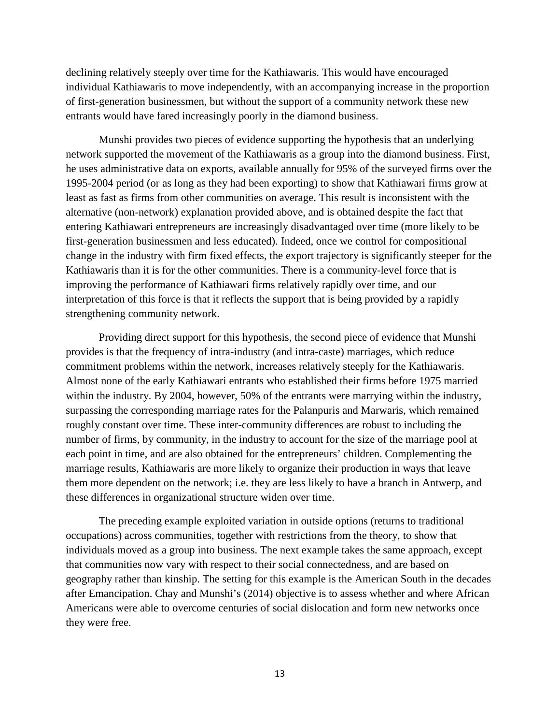declining relatively steeply over time for the Kathiawaris. This would have encouraged individual Kathiawaris to move independently, with an accompanying increase in the proportion of first-generation businessmen, but without the support of a community network these new entrants would have fared increasingly poorly in the diamond business.

Munshi provides two pieces of evidence supporting the hypothesis that an underlying network supported the movement of the Kathiawaris as a group into the diamond business. First, he uses administrative data on exports, available annually for 95% of the surveyed firms over the 1995-2004 period (or as long as they had been exporting) to show that Kathiawari firms grow at least as fast as firms from other communities on average. This result is inconsistent with the alternative (non-network) explanation provided above, and is obtained despite the fact that entering Kathiawari entrepreneurs are increasingly disadvantaged over time (more likely to be first-generation businessmen and less educated). Indeed, once we control for compositional change in the industry with firm fixed effects, the export trajectory is significantly steeper for the Kathiawaris than it is for the other communities. There is a community-level force that is improving the performance of Kathiawari firms relatively rapidly over time, and our interpretation of this force is that it reflects the support that is being provided by a rapidly strengthening community network.

Providing direct support for this hypothesis, the second piece of evidence that Munshi provides is that the frequency of intra-industry (and intra-caste) marriages, which reduce commitment problems within the network, increases relatively steeply for the Kathiawaris. Almost none of the early Kathiawari entrants who established their firms before 1975 married within the industry. By 2004, however, 50% of the entrants were marrying within the industry, surpassing the corresponding marriage rates for the Palanpuris and Marwaris, which remained roughly constant over time. These inter-community differences are robust to including the number of firms, by community, in the industry to account for the size of the marriage pool at each point in time, and are also obtained for the entrepreneurs' children. Complementing the marriage results, Kathiawaris are more likely to organize their production in ways that leave them more dependent on the network; i.e. they are less likely to have a branch in Antwerp, and these differences in organizational structure widen over time.

The preceding example exploited variation in outside options (returns to traditional occupations) across communities, together with restrictions from the theory, to show that individuals moved as a group into business. The next example takes the same approach, except that communities now vary with respect to their social connectedness, and are based on geography rather than kinship. The setting for this example is the American South in the decades after Emancipation. Chay and Munshi's (2014) objective is to assess whether and where African Americans were able to overcome centuries of social dislocation and form new networks once they were free.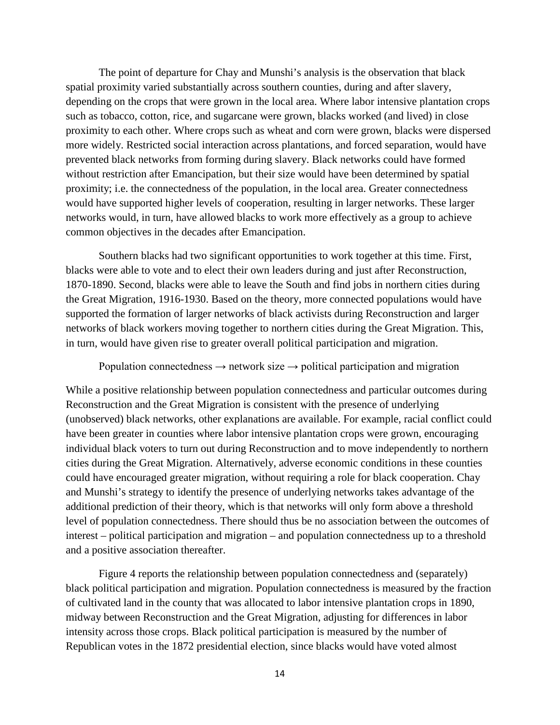The point of departure for Chay and Munshi's analysis is the observation that black spatial proximity varied substantially across southern counties, during and after slavery, depending on the crops that were grown in the local area. Where labor intensive plantation crops such as tobacco, cotton, rice, and sugarcane were grown, blacks worked (and lived) in close proximity to each other. Where crops such as wheat and corn were grown, blacks were dispersed more widely. Restricted social interaction across plantations, and forced separation, would have prevented black networks from forming during slavery. Black networks could have formed without restriction after Emancipation, but their size would have been determined by spatial proximity; i.e. the connectedness of the population, in the local area. Greater connectedness would have supported higher levels of cooperation, resulting in larger networks. These larger networks would, in turn, have allowed blacks to work more effectively as a group to achieve common objectives in the decades after Emancipation.

Southern blacks had two significant opportunities to work together at this time. First, blacks were able to vote and to elect their own leaders during and just after Reconstruction, 1870-1890. Second, blacks were able to leave the South and find jobs in northern cities during the Great Migration, 1916-1930. Based on the theory, more connected populations would have supported the formation of larger networks of black activists during Reconstruction and larger networks of black workers moving together to northern cities during the Great Migration. This, in turn, would have given rise to greater overall political participation and migration.

Population connectedness  $\rightarrow$  network size  $\rightarrow$  political participation and migration

While a positive relationship between population connectedness and particular outcomes during Reconstruction and the Great Migration is consistent with the presence of underlying (unobserved) black networks, other explanations are available. For example, racial conflict could have been greater in counties where labor intensive plantation crops were grown, encouraging individual black voters to turn out during Reconstruction and to move independently to northern cities during the Great Migration. Alternatively, adverse economic conditions in these counties could have encouraged greater migration, without requiring a role for black cooperation. Chay and Munshi's strategy to identify the presence of underlying networks takes advantage of the additional prediction of their theory, which is that networks will only form above a threshold level of population connectedness. There should thus be no association between the outcomes of interest – political participation and migration – and population connectedness up to a threshold and a positive association thereafter.

Figure 4 reports the relationship between population connectedness and (separately) black political participation and migration. Population connectedness is measured by the fraction of cultivated land in the county that was allocated to labor intensive plantation crops in 1890, midway between Reconstruction and the Great Migration, adjusting for differences in labor intensity across those crops. Black political participation is measured by the number of Republican votes in the 1872 presidential election, since blacks would have voted almost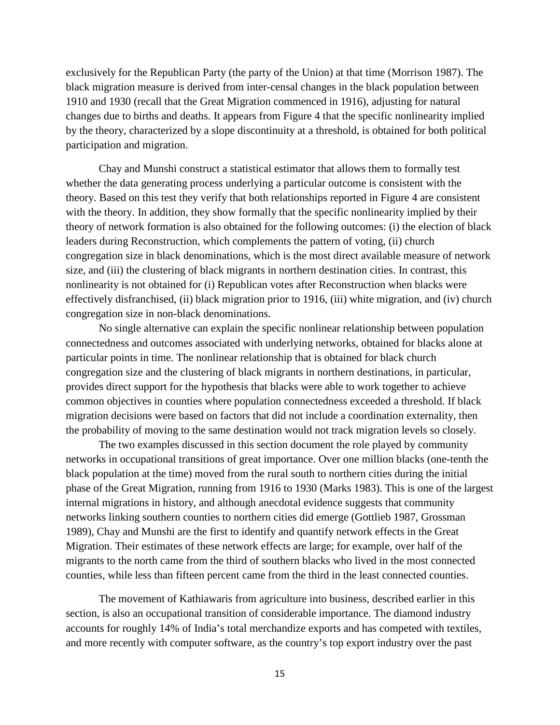exclusively for the Republican Party (the party of the Union) at that time (Morrison 1987). The black migration measure is derived from inter-censal changes in the black population between 1910 and 1930 (recall that the Great Migration commenced in 1916), adjusting for natural changes due to births and deaths. It appears from Figure 4 that the specific nonlinearity implied by the theory, characterized by a slope discontinuity at a threshold, is obtained for both political participation and migration.

Chay and Munshi construct a statistical estimator that allows them to formally test whether the data generating process underlying a particular outcome is consistent with the theory. Based on this test they verify that both relationships reported in Figure 4 are consistent with the theory. In addition, they show formally that the specific nonlinearity implied by their theory of network formation is also obtained for the following outcomes: (i) the election of black leaders during Reconstruction, which complements the pattern of voting, (ii) church congregation size in black denominations, which is the most direct available measure of network size, and (iii) the clustering of black migrants in northern destination cities. In contrast, this nonlinearity is not obtained for (i) Republican votes after Reconstruction when blacks were effectively disfranchised, (ii) black migration prior to 1916, (iii) white migration, and (iv) church congregation size in non-black denominations.

No single alternative can explain the specific nonlinear relationship between population connectedness and outcomes associated with underlying networks, obtained for blacks alone at particular points in time. The nonlinear relationship that is obtained for black church congregation size and the clustering of black migrants in northern destinations, in particular, provides direct support for the hypothesis that blacks were able to work together to achieve common objectives in counties where population connectedness exceeded a threshold. If black migration decisions were based on factors that did not include a coordination externality, then the probability of moving to the same destination would not track migration levels so closely.

The two examples discussed in this section document the role played by community networks in occupational transitions of great importance. Over one million blacks (one-tenth the black population at the time) moved from the rural south to northern cities during the initial phase of the Great Migration, running from 1916 to 1930 (Marks 1983). This is one of the largest internal migrations in history, and although anecdotal evidence suggests that community networks linking southern counties to northern cities did emerge (Gottlieb 1987, Grossman 1989), Chay and Munshi are the first to identify and quantify network effects in the Great Migration. Their estimates of these network effects are large; for example, over half of the migrants to the north came from the third of southern blacks who lived in the most connected counties, while less than fifteen percent came from the third in the least connected counties.

The movement of Kathiawaris from agriculture into business, described earlier in this section, is also an occupational transition of considerable importance. The diamond industry accounts for roughly 14% of India's total merchandize exports and has competed with textiles, and more recently with computer software, as the country's top export industry over the past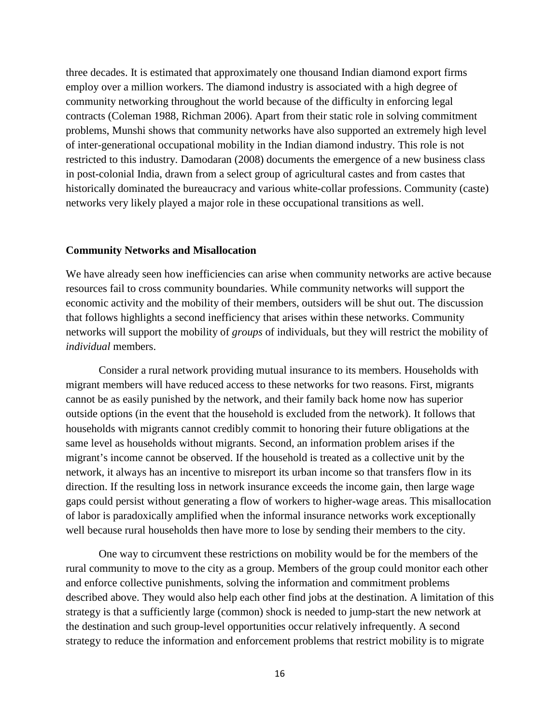three decades. It is estimated that approximately one thousand Indian diamond export firms employ over a million workers. The diamond industry is associated with a high degree of community networking throughout the world because of the difficulty in enforcing legal contracts (Coleman 1988, Richman 2006). Apart from their static role in solving commitment problems, Munshi shows that community networks have also supported an extremely high level of inter-generational occupational mobility in the Indian diamond industry. This role is not restricted to this industry. Damodaran (2008) documents the emergence of a new business class in post-colonial India, drawn from a select group of agricultural castes and from castes that historically dominated the bureaucracy and various white-collar professions. Community (caste) networks very likely played a major role in these occupational transitions as well.

#### **Community Networks and Misallocation**

We have already seen how inefficiencies can arise when community networks are active because resources fail to cross community boundaries. While community networks will support the economic activity and the mobility of their members, outsiders will be shut out. The discussion that follows highlights a second inefficiency that arises within these networks. Community networks will support the mobility of *groups* of individuals, but they will restrict the mobility of *individual* members.

Consider a rural network providing mutual insurance to its members. Households with migrant members will have reduced access to these networks for two reasons. First, migrants cannot be as easily punished by the network, and their family back home now has superior outside options (in the event that the household is excluded from the network). It follows that households with migrants cannot credibly commit to honoring their future obligations at the same level as households without migrants. Second, an information problem arises if the migrant's income cannot be observed. If the household is treated as a collective unit by the network, it always has an incentive to misreport its urban income so that transfers flow in its direction. If the resulting loss in network insurance exceeds the income gain, then large wage gaps could persist without generating a flow of workers to higher-wage areas. This misallocation of labor is paradoxically amplified when the informal insurance networks work exceptionally well because rural households then have more to lose by sending their members to the city.

One way to circumvent these restrictions on mobility would be for the members of the rural community to move to the city as a group. Members of the group could monitor each other and enforce collective punishments, solving the information and commitment problems described above. They would also help each other find jobs at the destination. A limitation of this strategy is that a sufficiently large (common) shock is needed to jump-start the new network at the destination and such group-level opportunities occur relatively infrequently. A second strategy to reduce the information and enforcement problems that restrict mobility is to migrate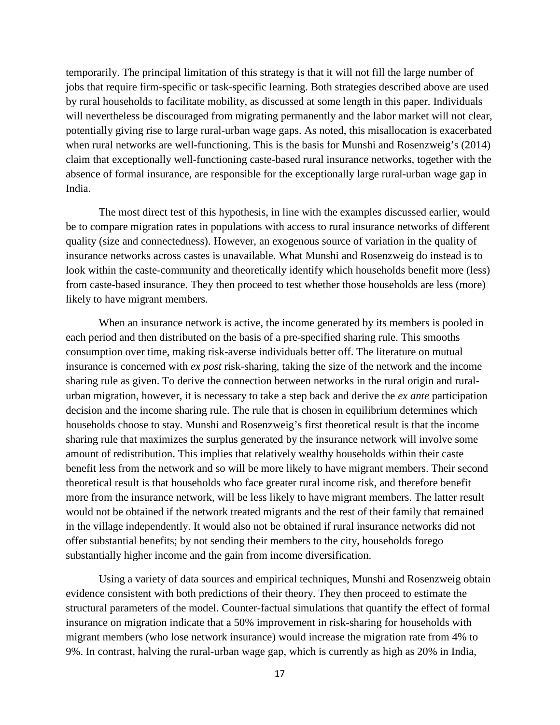temporarily. The principal limitation of this strategy is that it will not fill the large number of jobs that require firm-specific or task-specific learning. Both strategies described above are used by rural households to facilitate mobility, as discussed at some length in this paper. Individuals will nevertheless be discouraged from migrating permanently and the labor market will not clear, potentially giving rise to large rural-urban wage gaps. As noted, this misallocation is exacerbated when rural networks are well-functioning. This is the basis for Munshi and Rosenzweig's (2014) claim that exceptionally well-functioning caste-based rural insurance networks, together with the absence of formal insurance, are responsible for the exceptionally large rural-urban wage gap in India.

The most direct test of this hypothesis, in line with the examples discussed earlier, would be to compare migration rates in populations with access to rural insurance networks of different quality (size and connectedness). However, an exogenous source of variation in the quality of insurance networks across castes is unavailable. What Munshi and Rosenzweig do instead is to look within the caste-community and theoretically identify which households benefit more (less) from caste-based insurance. They then proceed to test whether those households are less (more) likely to have migrant members.

When an insurance network is active, the income generated by its members is pooled in each period and then distributed on the basis of a pre-specified sharing rule. This smooths consumption over time, making risk-averse individuals better off. The literature on mutual insurance is concerned with *ex post* risk-sharing, taking the size of the network and the income sharing rule as given. To derive the connection between networks in the rural origin and ruralurban migration, however, it is necessary to take a step back and derive the *ex ante* participation decision and the income sharing rule. The rule that is chosen in equilibrium determines which households choose to stay. Munshi and Rosenzweig's first theoretical result is that the income sharing rule that maximizes the surplus generated by the insurance network will involve some amount of redistribution. This implies that relatively wealthy households within their caste benefit less from the network and so will be more likely to have migrant members. Their second theoretical result is that households who face greater rural income risk, and therefore benefit more from the insurance network, will be less likely to have migrant members. The latter result would not be obtained if the network treated migrants and the rest of their family that remained in the village independently. It would also not be obtained if rural insurance networks did not offer substantial benefits; by not sending their members to the city, households forego substantially higher income and the gain from income diversification.

Using a variety of data sources and empirical techniques, Munshi and Rosenzweig obtain evidence consistent with both predictions of their theory. They then proceed to estimate the structural parameters of the model. Counter-factual simulations that quantify the effect of formal insurance on migration indicate that a 50% improvement in risk-sharing for households with migrant members (who lose network insurance) would increase the migration rate from 4% to 9%. In contrast, halving the rural-urban wage gap, which is currently as high as 20% in India,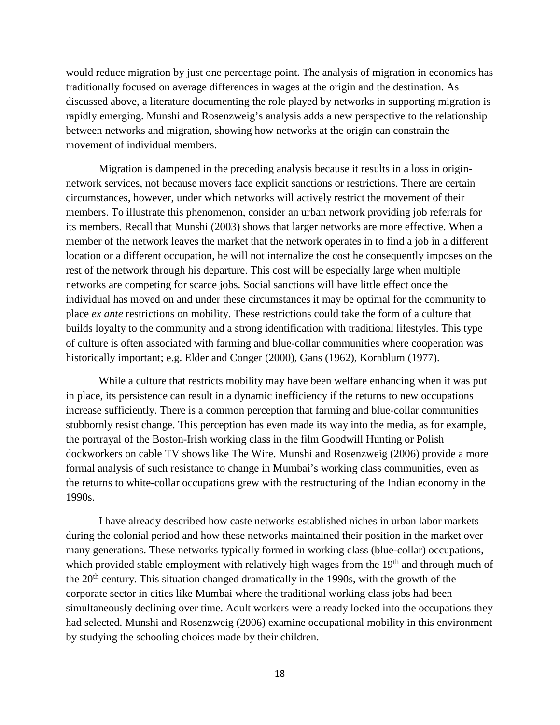would reduce migration by just one percentage point. The analysis of migration in economics has traditionally focused on average differences in wages at the origin and the destination. As discussed above, a literature documenting the role played by networks in supporting migration is rapidly emerging. Munshi and Rosenzweig's analysis adds a new perspective to the relationship between networks and migration, showing how networks at the origin can constrain the movement of individual members.

Migration is dampened in the preceding analysis because it results in a loss in originnetwork services, not because movers face explicit sanctions or restrictions. There are certain circumstances, however, under which networks will actively restrict the movement of their members. To illustrate this phenomenon, consider an urban network providing job referrals for its members. Recall that Munshi (2003) shows that larger networks are more effective. When a member of the network leaves the market that the network operates in to find a job in a different location or a different occupation, he will not internalize the cost he consequently imposes on the rest of the network through his departure. This cost will be especially large when multiple networks are competing for scarce jobs. Social sanctions will have little effect once the individual has moved on and under these circumstances it may be optimal for the community to place *ex ante* restrictions on mobility. These restrictions could take the form of a culture that builds loyalty to the community and a strong identification with traditional lifestyles. This type of culture is often associated with farming and blue-collar communities where cooperation was historically important; e.g. Elder and Conger (2000), Gans (1962), Kornblum (1977).

While a culture that restricts mobility may have been welfare enhancing when it was put in place, its persistence can result in a dynamic inefficiency if the returns to new occupations increase sufficiently. There is a common perception that farming and blue-collar communities stubbornly resist change. This perception has even made its way into the media, as for example, the portrayal of the Boston-Irish working class in the film Goodwill Hunting or Polish dockworkers on cable TV shows like The Wire. Munshi and Rosenzweig (2006) provide a more formal analysis of such resistance to change in Mumbai's working class communities, even as the returns to white-collar occupations grew with the restructuring of the Indian economy in the 1990s.

I have already described how caste networks established niches in urban labor markets during the colonial period and how these networks maintained their position in the market over many generations. These networks typically formed in working class (blue-collar) occupations, which provided stable employment with relatively high wages from the 19<sup>th</sup> and through much of the  $20<sup>th</sup>$  century. This situation changed dramatically in the 1990s, with the growth of the corporate sector in cities like Mumbai where the traditional working class jobs had been simultaneously declining over time. Adult workers were already locked into the occupations they had selected. Munshi and Rosenzweig (2006) examine occupational mobility in this environment by studying the schooling choices made by their children.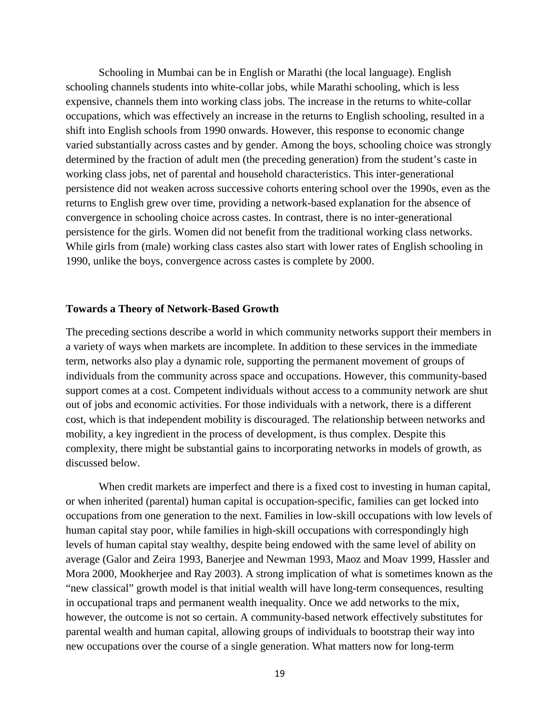Schooling in Mumbai can be in English or Marathi (the local language). English schooling channels students into white-collar jobs, while Marathi schooling, which is less expensive, channels them into working class jobs. The increase in the returns to white-collar occupations, which was effectively an increase in the returns to English schooling, resulted in a shift into English schools from 1990 onwards. However, this response to economic change varied substantially across castes and by gender. Among the boys, schooling choice was strongly determined by the fraction of adult men (the preceding generation) from the student's caste in working class jobs, net of parental and household characteristics. This inter-generational persistence did not weaken across successive cohorts entering school over the 1990s, even as the returns to English grew over time, providing a network-based explanation for the absence of convergence in schooling choice across castes. In contrast, there is no inter-generational persistence for the girls. Women did not benefit from the traditional working class networks. While girls from (male) working class castes also start with lower rates of English schooling in 1990, unlike the boys, convergence across castes is complete by 2000.

#### **Towards a Theory of Network-Based Growth**

The preceding sections describe a world in which community networks support their members in a variety of ways when markets are incomplete. In addition to these services in the immediate term, networks also play a dynamic role, supporting the permanent movement of groups of individuals from the community across space and occupations. However, this community-based support comes at a cost. Competent individuals without access to a community network are shut out of jobs and economic activities. For those individuals with a network, there is a different cost, which is that independent mobility is discouraged. The relationship between networks and mobility, a key ingredient in the process of development, is thus complex. Despite this complexity, there might be substantial gains to incorporating networks in models of growth, as discussed below.

When credit markets are imperfect and there is a fixed cost to investing in human capital, or when inherited (parental) human capital is occupation-specific, families can get locked into occupations from one generation to the next. Families in low-skill occupations with low levels of human capital stay poor, while families in high-skill occupations with correspondingly high levels of human capital stay wealthy, despite being endowed with the same level of ability on average (Galor and Zeira 1993, Banerjee and Newman 1993, Maoz and Moav 1999, Hassler and Mora 2000, Mookherjee and Ray 2003). A strong implication of what is sometimes known as the "new classical" growth model is that initial wealth will have long-term consequences, resulting in occupational traps and permanent wealth inequality. Once we add networks to the mix, however, the outcome is not so certain. A community-based network effectively substitutes for parental wealth and human capital, allowing groups of individuals to bootstrap their way into new occupations over the course of a single generation. What matters now for long-term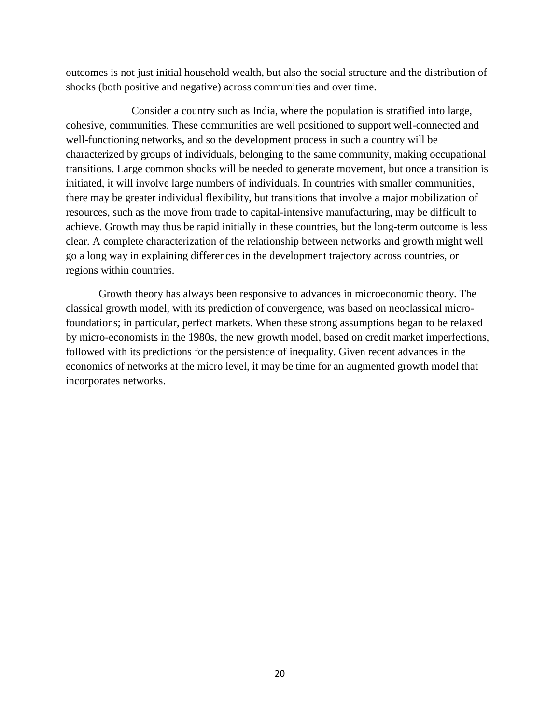outcomes is not just initial household wealth, but also the social structure and the distribution of shocks (both positive and negative) across communities and over time.

Consider a country such as India, where the population is stratified into large, cohesive, communities. These communities are well positioned to support well-connected and well-functioning networks, and so the development process in such a country will be characterized by groups of individuals, belonging to the same community, making occupational transitions. Large common shocks will be needed to generate movement, but once a transition is initiated, it will involve large numbers of individuals. In countries with smaller communities, there may be greater individual flexibility, but transitions that involve a major mobilization of resources, such as the move from trade to capital-intensive manufacturing, may be difficult to achieve. Growth may thus be rapid initially in these countries, but the long-term outcome is less clear. A complete characterization of the relationship between networks and growth might well go a long way in explaining differences in the development trajectory across countries, or regions within countries.

Growth theory has always been responsive to advances in microeconomic theory. The classical growth model, with its prediction of convergence, was based on neoclassical microfoundations; in particular, perfect markets. When these strong assumptions began to be relaxed by micro-economists in the 1980s, the new growth model, based on credit market imperfections, followed with its predictions for the persistence of inequality. Given recent advances in the economics of networks at the micro level, it may be time for an augmented growth model that incorporates networks.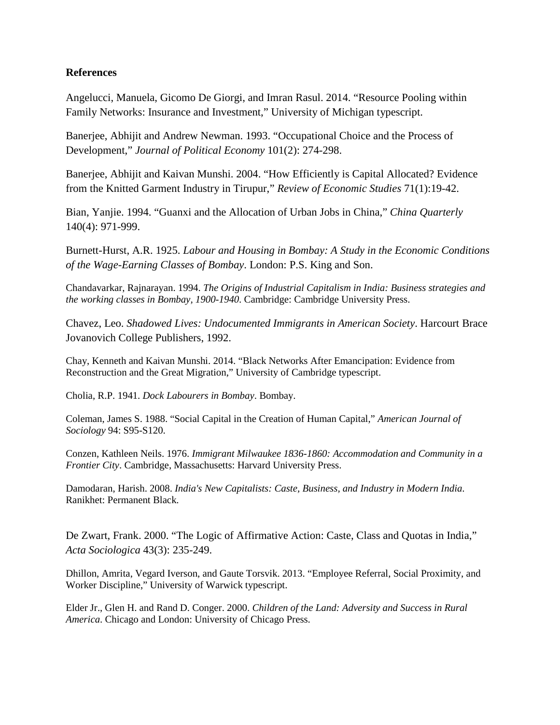#### **References**

Angelucci, Manuela, Gicomo De Giorgi, and Imran Rasul. 2014. "Resource Pooling within Family Networks: Insurance and Investment," University of Michigan typescript.

Banerjee, Abhijit and Andrew Newman. 1993. "Occupational Choice and the Process of Development," *Journal of Political Economy* 101(2): 274-298.

Banerjee, Abhijit and Kaivan Munshi. 2004. "How Efficiently is Capital Allocated? Evidence from the Knitted Garment Industry in Tirupur," *Review of Economic Studies* 71(1):19-42.

Bian, Yanjie. 1994. "Guanxi and the Allocation of Urban Jobs in China," *China Quarterly* 140(4): 971-999.

Burnett-Hurst, A.R. 1925. *Labour and Housing in Bombay: A Study in the Economic Conditions of the Wage-Earning Classes of Bombay*. London: P.S. King and Son.

Chandavarkar, Rajnarayan. 1994. *The Origins of Industrial Capitalism in India: Business strategies and the working classes in Bombay, 1900-1940*. Cambridge: Cambridge University Press.

Chavez, Leo. *Shadowed Lives: Undocumented Immigrants in American Society*. Harcourt Brace Jovanovich College Publishers, 1992.

Chay, Kenneth and Kaivan Munshi. 2014. "Black Networks After Emancipation: Evidence from Reconstruction and the Great Migration," University of Cambridge typescript.

Cholia, R.P. 1941. *Dock Labourers in Bombay*. Bombay.

Coleman, James S. 1988. "Social Capital in the Creation of Human Capital," *American Journal of Sociology* 94: S95-S120.

Conzen, Kathleen Neils. 1976. *Immigrant Milwaukee 1836-1860: Accommodation and Community in a Frontier City*. Cambridge, Massachusetts: Harvard University Press.

Damodaran, Harish. 2008. *India's New Capitalists: Caste, Business, and Industry in Modern India*. Ranikhet: Permanent Black.

De Zwart, Frank. 2000. "The Logic of Affirmative Action: Caste, Class and Quotas in India," *Acta Sociologica* 43(3): 235-249.

Dhillon, Amrita, Vegard Iverson, and Gaute Torsvik. 2013. "Employee Referral, Social Proximity, and Worker Discipline," University of Warwick typescript.

Elder Jr., Glen H. and Rand D. Conger. 2000. *Children of the Land: Adversity and Success in Rural America*. Chicago and London: University of Chicago Press.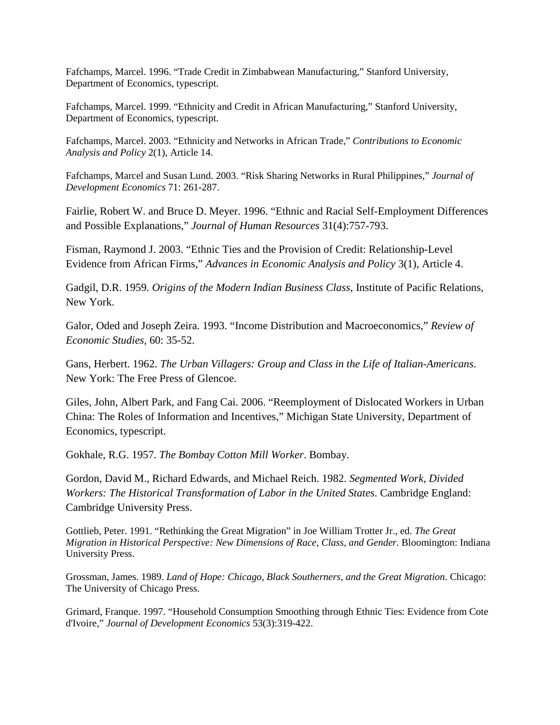Fafchamps, Marcel. 1996. "Trade Credit in Zimbabwean Manufacturing," Stanford University, Department of Economics, typescript.

Fafchamps, Marcel. 1999. "Ethnicity and Credit in African Manufacturing," Stanford University, Department of Economics, typescript.

Fafchamps, Marcel. 2003. "Ethnicity and Networks in African Trade," *Contributions to Economic Analysis and Policy* 2(1), Article 14.

Fafchamps, Marcel and Susan Lund. 2003. "Risk Sharing Networks in Rural Philippines," *Journal of Development Economics* 71: 261-287.

Fairlie, Robert W. and Bruce D. Meyer. 1996. "Ethnic and Racial Self-Employment Differences and Possible Explanations," *Journal of Human Resources* 31(4):757-793.

Fisman, Raymond J. 2003. "Ethnic Ties and the Provision of Credit: Relationship-Level Evidence from African Firms," *Advances in Economic Analysis and Policy* 3(1), Article 4.

Gadgil, D.R. 1959. *Origins of the Modern Indian Business Class*, Institute of Pacific Relations, New York.

Galor, Oded and Joseph Zeira. 1993. "Income Distribution and Macroeconomics," *Review of Economic Studies*, 60: 35-52.

Gans, Herbert. 1962. *The Urban Villagers: Group and Class in the Life of Italian-Americans*. New York: The Free Press of Glencoe.

Giles, John, Albert Park, and Fang Cai. 2006. "Reemployment of Dislocated Workers in Urban China: The Roles of Information and Incentives," Michigan State University, Department of Economics, typescript.

Gokhale, R.G. 1957. *The Bombay Cotton Mill Worker*. Bombay.

Gordon, David M., Richard Edwards, and Michael Reich. 1982. *Segmented Work, Divided Workers: The Historical Transformation of Labor in the United States*. Cambridge England: Cambridge University Press.

Gottlieb, Peter. 1991. "Rethinking the Great Migration" in Joe William Trotter Jr., ed. *The Great Migration in Historical Perspective: New Dimensions of Race, Class, and Gender*. Bloomington: Indiana University Press.

Grossman, James. 1989. *Land of Hope: Chicago, Black Southerners, and the Great Migration*. Chicago: The University of Chicago Press.

Grimard, Franque. 1997. "Household Consumption Smoothing through Ethnic Ties: Evidence from Cote d'Ivoire," *Journal of Development Economics* 53(3):319-422.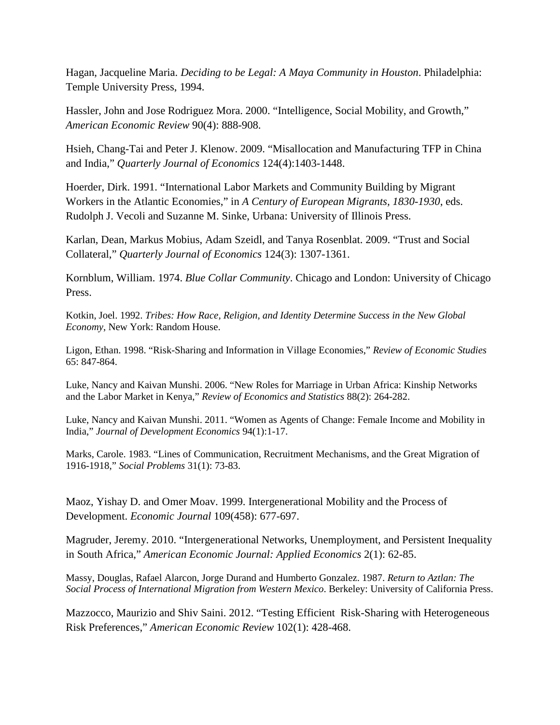Hagan, Jacqueline Maria. *Deciding to be Legal: A Maya Community in Houston*. Philadelphia: Temple University Press, 1994.

Hassler, John and Jose Rodriguez Mora. 2000. "Intelligence, Social Mobility, and Growth," *American Economic Review* 90(4): 888-908.

Hsieh, Chang-Tai and Peter J. Klenow. 2009. "Misallocation and Manufacturing TFP in China and India," *Quarterly Journal of Economics* 124(4):1403-1448.

Hoerder, Dirk. 1991. "International Labor Markets and Community Building by Migrant Workers in the Atlantic Economies," in *A Century of European Migrants, 1830-1930*, eds. Rudolph J. Vecoli and Suzanne M. Sinke, Urbana: University of Illinois Press.

Karlan, Dean, Markus Mobius, Adam Szeidl, and Tanya Rosenblat. 2009. "Trust and Social Collateral," *Quarterly Journal of Economics* 124(3): 1307-1361.

Kornblum, William. 1974. *Blue Collar Community*. Chicago and London: University of Chicago Press.

Kotkin, Joel. 1992. *Tribes: How Race, Religion, and Identity Determine Success in the New Global Economy*, New York: Random House.

Ligon, Ethan. 1998. "Risk-Sharing and Information in Village Economies," *Review of Economic Studies* 65: 847-864.

Luke, Nancy and Kaivan Munshi. 2006. "New Roles for Marriage in Urban Africa: Kinship Networks and the Labor Market in Kenya," *Review of Economics and Statistics* 88(2): 264-282.

Luke, Nancy and Kaivan Munshi. 2011. "Women as Agents of Change: Female Income and Mobility in India," *Journal of Development Economics* 94(1):1-17.

Marks, Carole. 1983. "Lines of Communication, Recruitment Mechanisms, and the Great Migration of 1916-1918," *Social Problems* 31(1): 73-83.

Maoz, Yishay D. and Omer Moav. 1999. Intergenerational Mobility and the Process of Development. *Economic Journal* 109(458): 677-697.

Magruder, Jeremy. 2010. "Intergenerational Networks, Unemployment, and Persistent Inequality in South Africa," *American Economic Journal: Applied Economics* 2(1): 62-85.

Massy, Douglas, Rafael Alarcon, Jorge Durand and Humberto Gonzalez. 1987. *Return to Aztlan: The Social Process of International Migration from Western Mexico*. Berkeley: University of California Press.

Mazzocco, Maurizio and Shiv Saini. 2012. "Testing Efficient Risk-Sharing with Heterogeneous Risk Preferences," *American Economic Review* 102(1): 428-468.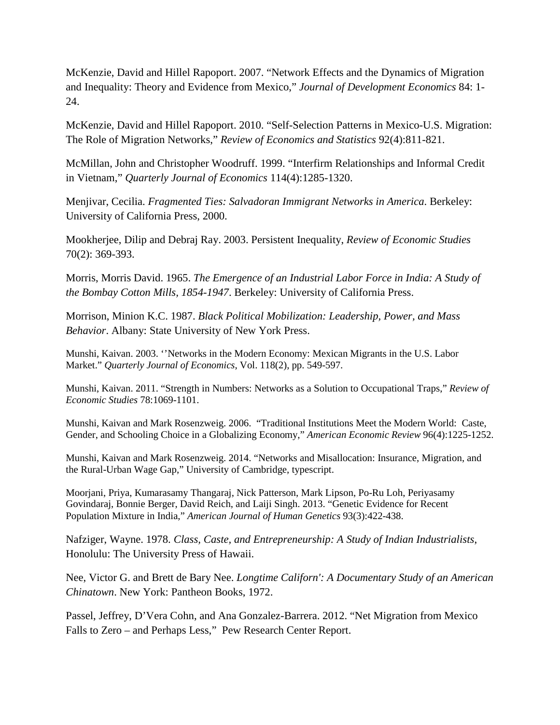McKenzie, David and Hillel Rapoport. 2007. "Network Effects and the Dynamics of Migration and Inequality: Theory and Evidence from Mexico," *Journal of Development Economics* 84: 1- 24.

McKenzie, David and Hillel Rapoport. 2010. "Self-Selection Patterns in Mexico-U.S. Migration: The Role of Migration Networks," *Review of Economics and Statistics* 92(4):811-821.

McMillan, John and Christopher Woodruff. 1999. "Interfirm Relationships and Informal Credit in Vietnam," *Quarterly Journal of Economics* 114(4):1285-1320.

Menjivar, Cecilia. *Fragmented Ties: Salvadoran Immigrant Networks in America*. Berkeley: University of California Press, 2000.

Mookherjee, Dilip and Debraj Ray. 2003. Persistent Inequality, *Review of Economic Studies* 70(2): 369-393.

Morris, Morris David. 1965. *The Emergence of an Industrial Labor Force in India: A Study of the Bombay Cotton Mills, 1854-1947*. Berkeley: University of California Press.

Morrison, Minion K.C. 1987. *Black Political Mobilization: Leadership, Power, and Mass Behavior*. Albany: State University of New York Press.

Munshi, Kaivan. 2003. ''Networks in the Modern Economy: Mexican Migrants in the U.S. Labor Market." *Quarterly Journal of Economics*, Vol. 118(2), pp. 549-597.

Munshi, Kaivan. 2011. "Strength in Numbers: Networks as a Solution to Occupational Traps," *Review of Economic Studies* 78:1069-1101.

Munshi, Kaivan and Mark Rosenzweig. 2006. "Traditional Institutions Meet the Modern World: Caste, Gender, and Schooling Choice in a Globalizing Economy," *American Economic Review* 96(4):1225-1252.

Munshi, Kaivan and Mark Rosenzweig. 2014. "Networks and Misallocation: Insurance, Migration, and the Rural-Urban Wage Gap," University of Cambridge, typescript.

Moorjani, Priya, Kumarasamy Thangaraj, Nick Patterson, Mark Lipson, Po-Ru Loh, Periyasamy Govindaraj, Bonnie Berger, David Reich, and Laiji Singh. 2013. "Genetic Evidence for Recent Population Mixture in India," *American Journal of Human Genetics* 93(3):422-438.

Nafziger, Wayne. 1978. *Class, Caste, and Entrepreneurship: A Study of Indian Industrialists*, Honolulu: The University Press of Hawaii.

Nee, Victor G. and Brett de Bary Nee. *Longtime Californ': A Documentary Study of an American Chinatown*. New York: Pantheon Books, 1972.

Passel, Jeffrey, D'Vera Cohn, and Ana Gonzalez-Barrera. 2012. "Net Migration from Mexico Falls to Zero – and Perhaps Less," Pew Research Center Report.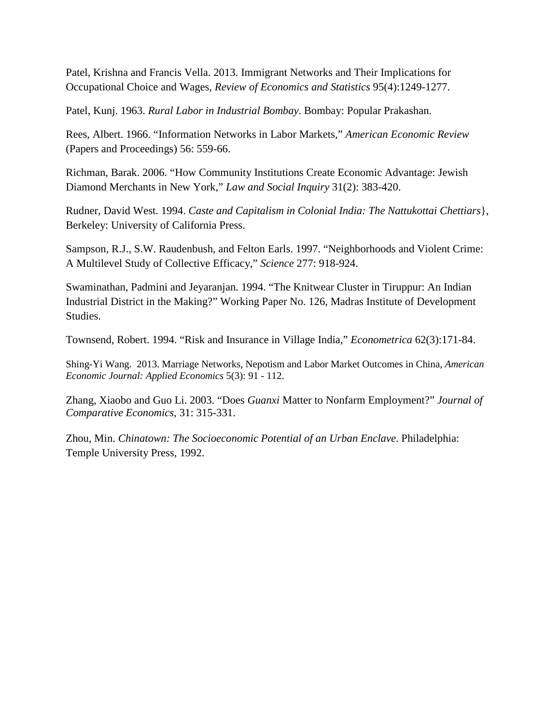Patel, Krishna and Francis Vella. 2013. Immigrant Networks and Their Implications for Occupational Choice and Wages, *Review of Economics and Statistics* 95(4):1249-1277.

Patel, Kunj. 1963. *Rural Labor in Industrial Bombay*. Bombay: Popular Prakashan.

Rees, Albert. 1966. "Information Networks in Labor Markets," *American Economic Review* (Papers and Proceedings) 56: 559-66.

Richman, Barak. 2006. "How Community Institutions Create Economic Advantage: Jewish Diamond Merchants in New York," *Law and Social Inquiry* 31(2): 383-420.

Rudner, David West. 1994. *Caste and Capitalism in Colonial India: The Nattukottai Chettiars*}, Berkeley: University of California Press.

Sampson, R.J., S.W. Raudenbush, and Felton Earls. 1997. "Neighborhoods and Violent Crime: A Multilevel Study of Collective Efficacy," *Science* 277: 918-924.

Swaminathan, Padmini and Jeyaranjan. 1994. "The Knitwear Cluster in Tiruppur: An Indian Industrial District in the Making?" Working Paper No. 126, Madras Institute of Development Studies.

Townsend, Robert. 1994. "Risk and Insurance in Village India," *Econometrica* 62(3):171-84.

Shing-Yi Wang. 2013. Marriage Networks, Nepotism and Labor Market Outcomes in China, *American Economic Journal: Applied Economics* 5(3): 91 - 112.

Zhang, Xiaobo and Guo Li. 2003. "Does *Guanxi* Matter to Nonfarm Employment?" *Journal of Comparative Economics*, 31: 315-331.

Zhou, Min. *Chinatown: The Socioeconomic Potential of an Urban Enclave*. Philadelphia: Temple University Press, 1992.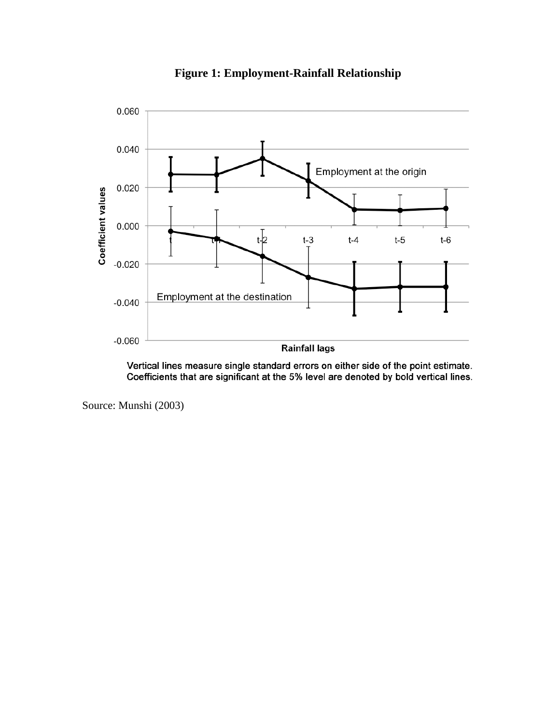

**Figure 1: Employment-Rainfall Relationship**

Vertical lines measure single standard errors on either side of the point estimate. Coefficients that are significant at the 5% level are denoted by bold vertical lines.

Source: Munshi (2003)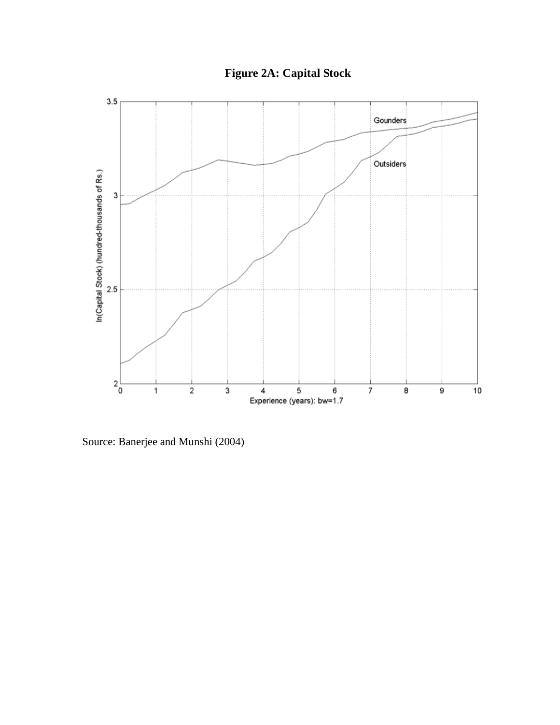**Figure 2A: Capital Stock**



Source: Banerjee and Munshi (2004)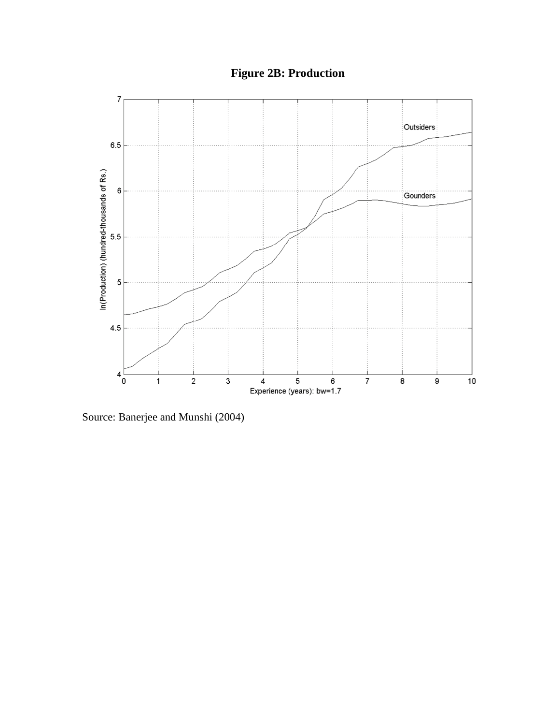**Figure 2B: Production**



Source: Banerjee and Munshi (2004)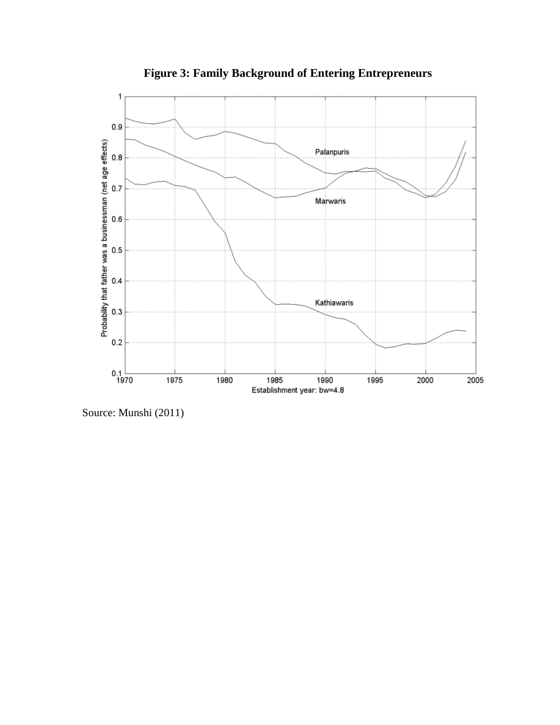

**Figure 3: Family Background of Entering Entrepreneurs**

Source: Munshi (2011)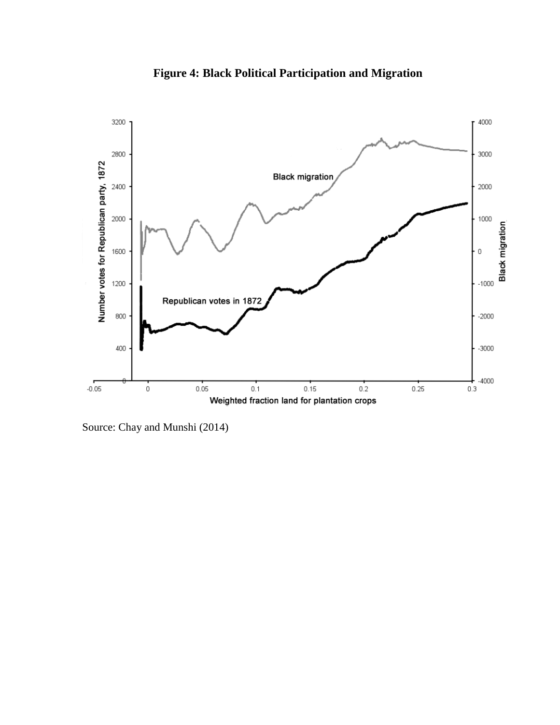

**Figure 4: Black Political Participation and Migration**

Source: Chay and Munshi (2014)